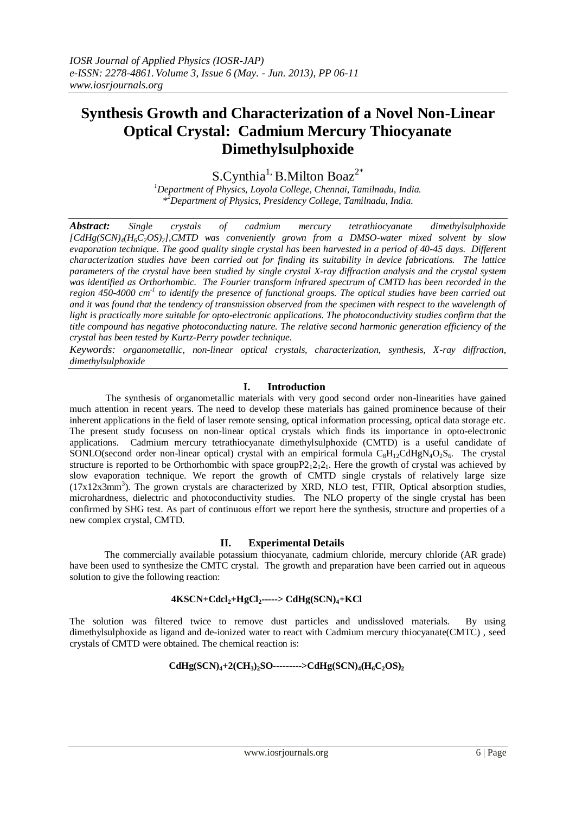# **Synthesis Growth and Characterization of a Novel Non-Linear Optical Crystal: Cadmium Mercury Thiocyanate Dimethylsulphoxide**

 $S.Cynthia<sup>1</sup>$ , B. Milton Boaz<sup>2\*</sup>

*<sup>1</sup>Department of Physics, Loyola College, Chennai, Tamilnadu, India. \* <sup>2</sup>Department of Physics, Presidency College, Tamilnadu, India.*

*Abstract: Single crystals of cadmium mercury tetrathiocyanate dimethylsulphoxide [CdHg(SCN)4(H6C2OS)2],CMTD was conveniently grown from a DMSO-water mixed solvent by slow evaporation technique. The good quality single crystal has been harvested in a period of 40-45 days. Different characterization studies have been carried out for finding its suitability in device fabrications. The lattice parameters of the crystal have been studied by single crystal X-ray diffraction analysis and the crystal system was identified as Orthorhombic. The Fourier transform infrared spectrum of CMTD has been recorded in the*  region 450-4000 cm<sup>-1</sup> to identify the presence of functional groups. The optical studies have been carried out *and it was found that the tendency of transmission observed from the specimen with respect to the wavelength of light is practically more suitable for opto-electronic applications. The photoconductivity studies confirm that the title compound has negative photoconducting nature. The relative second harmonic generation efficiency of the crystal has been tested by Kurtz-Perry powder technique.*

*Keywords: organometallic, non-linear optical crystals, characterization, synthesis, X-ray diffraction, dimethylsulphoxide*

## **I. Introduction**

 The synthesis of organometallic materials with very good second order non-linearities have gained much attention in recent years. The need to develop these materials has gained prominence because of their inherent applications in the field of laser remote sensing, optical information processing, optical data storage etc. The present study focusess on non-linear optical crystals which finds its importance in opto-electronic applications. Cadmium mercury tetrathiocyanate dimethylsulphoxide (CMTD) is a useful candidate of SONLO(second order non-linear optical) crystal with an empirical formula  $C_8H_{12}CdHgN_4O_2S_6$ . The crystal structure is reported to be Orthorhombic with space group  $P2_12_12_1$ . Here the growth of crystal was achieved by slow evaporation technique. We report the growth of CMTD single crystals of relatively large size (17x12x3mm<sup>3</sup>). The grown crystals are characterized by XRD, NLO test, FTIR, Optical absorption studies, microhardness, dielectric and photoconductivity studies. The NLO property of the single crystal has been confirmed by SHG test. As part of continuous effort we report here the synthesis, structure and properties of a new complex crystal, CMTD.

#### **II. Experimental Details**

The commercially available potassium thiocyanate, cadmium chloride, mercury chloride (AR grade) have been used to synthesize the CMTC crystal. The growth and preparation have been carried out in aqueous solution to give the following reaction:

#### **4KSCN+Cdcl2+HgCl2-----> CdHg(SCN)4+KCl**

The solution was filtered twice to remove dust particles and undissloved materials. By using dimethylsulphoxide as ligand and de-ionized water to react with Cadmium mercury thiocyanate(CMTC) , seed crystals of CMTD were obtained. The chemical reaction is:

# $\text{CdHg}(\text{SCN})_4 + 2(\text{CH}_3)_2\text{SO}$ ---------> $\text{CdHg}(\text{SCN})_4(\text{H}_6\text{C}_2\text{OS})_2$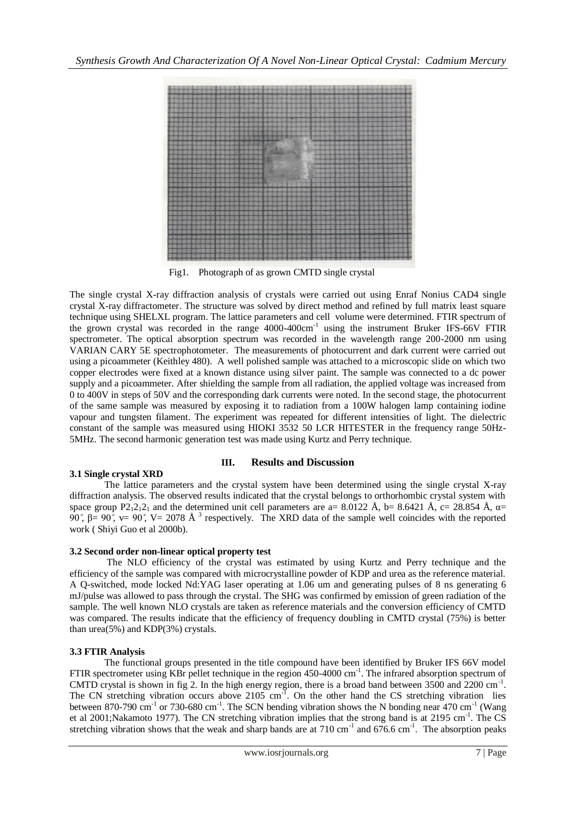

Fig1. Photograph of as grown CMTD single crystal

The single crystal X-ray diffraction analysis of crystals were carried out using Enraf Nonius CAD4 single crystal X-ray diffractometer. The structure was solved by direct method and refined by full matrix least square technique using SHELXL program. The lattice parameters and cell volume were determined. FTIR spectrum of the grown crystal was recorded in the range 4000-400cm<sup>-1</sup> using the instrument Bruker IFS-66V FTIR spectrometer. The optical absorption spectrum was recorded in the wavelength range 200-2000 nm using VARIAN CARY 5E spectrophotometer. The measurements of photocurrent and dark current were carried out using a picoammeter (Keithley 480). A well polished sample was attached to a microscopic slide on which two copper electrodes were fixed at a known distance using silver paint. The sample was connected to a dc power supply and a picoammeter. After shielding the sample from all radiation, the applied voltage was increased from 0 to 400V in steps of 50V and the corresponding dark currents were noted. In the second stage, the photocurrent of the same sample was measured by exposing it to radiation from a 100W halogen lamp containing iodine vapour and tungsten filament. The experiment was repeated for different intensities of light. The dielectric constant of the sample was measured using HIOKI 3532 50 LCR HITESTER in the frequency range 50Hz-5MHz. The second harmonic generation test was made using Kurtz and Perry technique.

## **3.1 Single crystal XRD**

## **III. Results and Discussion**

 The lattice parameters and the crystal system have been determined using the single crystal X-ray diffraction analysis. The observed results indicated that the crystal belongs to orthorhombic crystal system with space group P2<sub>1</sub>2<sub>1</sub>2<sub>1</sub> and the determined unit cell parameters are a= 8.0122 Å, b= 8.6421 Å, c= 28.854 Å,  $\alpha$ = 90°,  $\beta$ = 90°, v= 90°, V= 2078 Å<sup>3</sup> respectively. The XRD data of the sample well coincides with the reported work ( Shiyi Guo et al 2000b).

## **3.2 Second order non-linear optical property test**

The NLO efficiency of the crystal was estimated by using Kurtz and Perry technique and the efficiency of the sample was compared with microcrystalline powder of KDP and urea as the reference material. A Q-switched, mode locked Nd:YAG laser operating at 1.06 um and generating pulses of 8 ns generating 6 mJ/pulse was allowed to pass through the crystal. The SHG was confirmed by emission of green radiation of the sample. The well known NLO crystals are taken as reference materials and the conversion efficiency of CMTD was compared. The results indicate that the efficiency of frequency doubling in CMTD crystal (75%) is better than urea(5%) and KDP(3%) crystals.

## **3.3 FTIR Analysis**

The functional groups presented in the title compound have been identified by Bruker IFS 66V model FTIR spectrometer using KBr pellet technique in the region 450-4000 cm<sup>-1</sup>. The infrared absorption spectrum of CMTD crystal is shown in fig 2. In the high energy region, there is a broad band between 3500 and 2200 cm<sup>-1</sup>. The CN stretching vibration occurs above  $2105 \text{ cm}^{-1}$ . On the other hand the CS stretching vibration lies between 870-790 cm<sup>-1</sup> or 730-680 cm<sup>-1</sup>. The SCN bending vibration shows the N bonding near 470 cm<sup>-1</sup> (Wang et al 2001;Nakamoto 1977). The CN stretching vibration implies that the strong band is at 2195 cm<sup>-1</sup>. The CS stretching vibration shows that the weak and sharp bands are at  $710 \text{ cm}^{-1}$  and  $676.6 \text{ cm}^{-1}$ . The absorption peaks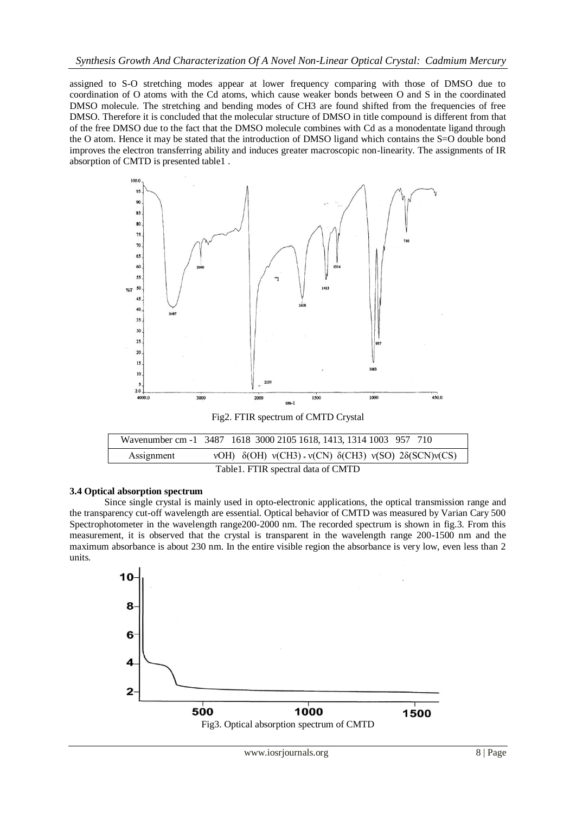assigned to S-O stretching modes appear at lower frequency comparing with those of DMSO due to coordination of O atoms with the Cd atoms, which cause weaker bonds between O and S in the coordinated DMSO molecule. The stretching and bending modes of CH3 are found shifted from the frequencies of free DMSO. Therefore it is concluded that the molecular structure of DMSO in title compound is different from that of the free DMSO due to the fact that the DMSO molecule combines with Cd as a monodentate ligand through the O atom. Hence it may be stated that the introduction of DMSO ligand which contains the S=O double bond improves the electron transferring ability and induces greater macroscopic non-linearity. The assignments of IR absorption of CMTD is presented table1 .



|            | Wavenumber cm -1 3487 1618 3000 2105 1618, 1413, 1314 1003 957 710         |
|------------|----------------------------------------------------------------------------|
| Assignment | vOH) $\delta$ (OH) v(CH3) v(CN) $\delta$ (CH3) v(SO) 2 $\delta$ (SCN)v(CS) |
|            | Table1. FTIR spectral data of CMTD                                         |

#### **3.4 Optical absorption spectrum**

 Since single crystal is mainly used in opto-electronic applications, the optical transmission range and the transparency cut-off wavelength are essential. Optical behavior of CMTD was measured by Varian Cary 500 Spectrophotometer in the wavelength range200-2000 nm. The recorded spectrum is shown in fig.3. From this measurement, it is observed that the crystal is transparent in the wavelength range 200-1500 nm and the maximum absorbance is about 230 nm. In the entire visible region the absorbance is very low, even less than 2 units.

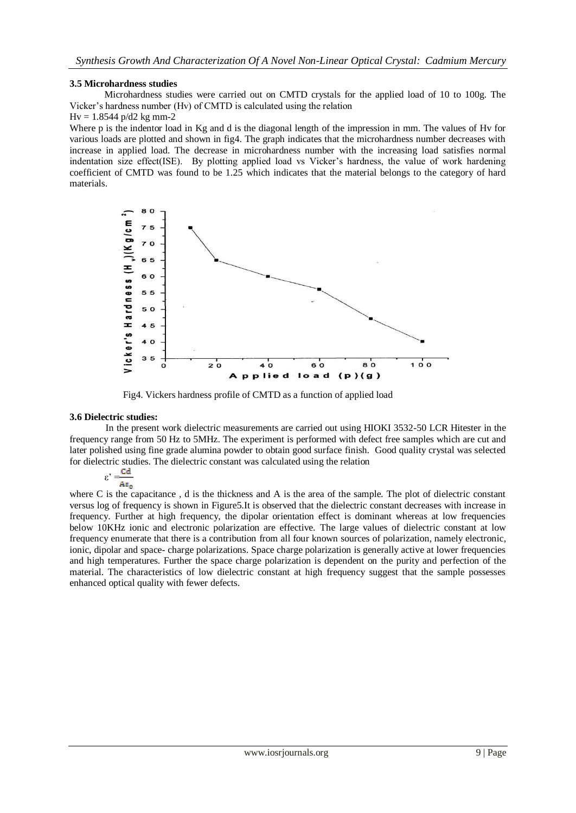## **3.5 Microhardness studies**

 Microhardness studies were carried out on CMTD crystals for the applied load of 10 to 100g. The Vicker's hardness number (Hv) of CMTD is calculated using the relation

## $Hv = 1.8544$  p/d2 kg mm-2

Where p is the indentor load in Kg and d is the diagonal length of the impression in mm. The values of Hv for various loads are plotted and shown in fig4. The graph indicates that the microhardness number decreases with increase in applied load. The decrease in microhardness number with the increasing load satisfies normal indentation size effect(ISE). By plotting applied load vs Vicker's hardness, the value of work hardening coefficient of CMTD was found to be 1.25 which indicates that the material belongs to the category of hard materials.



Fig4. Vickers hardness profile of CMTD as a function of applied load

#### **3.6 Dielectric studies:**

 In the present work dielectric measurements are carried out using HIOKI 3532-50 LCR Hitester in the frequency range from 50 Hz to 5MHz. The experiment is performed with defect free samples which are cut and later polished using fine grade alumina powder to obtain good surface finish. Good quality crystal was selected for dielectric studies. The dielectric constant was calculated using the relation

 $\varepsilon' = \frac{Cd}{A\varepsilon_0}$ 

where C is the capacitance, d is the thickness and A is the area of the sample. The plot of dielectric constant versus log of frequency is shown in Figure5.It is observed that the dielectric constant decreases with increase in frequency. Further at high frequency, the dipolar orientation effect is dominant whereas at low frequencies below 10KHz ionic and electronic polarization are effective. The large values of dielectric constant at low frequency enumerate that there is a contribution from all four known sources of polarization, namely electronic, ionic, dipolar and space- charge polarizations. Space charge polarization is generally active at lower frequencies and high temperatures. Further the space charge polarization is dependent on the purity and perfection of the material. The characteristics of low dielectric constant at high frequency suggest that the sample possesses enhanced optical quality with fewer defects.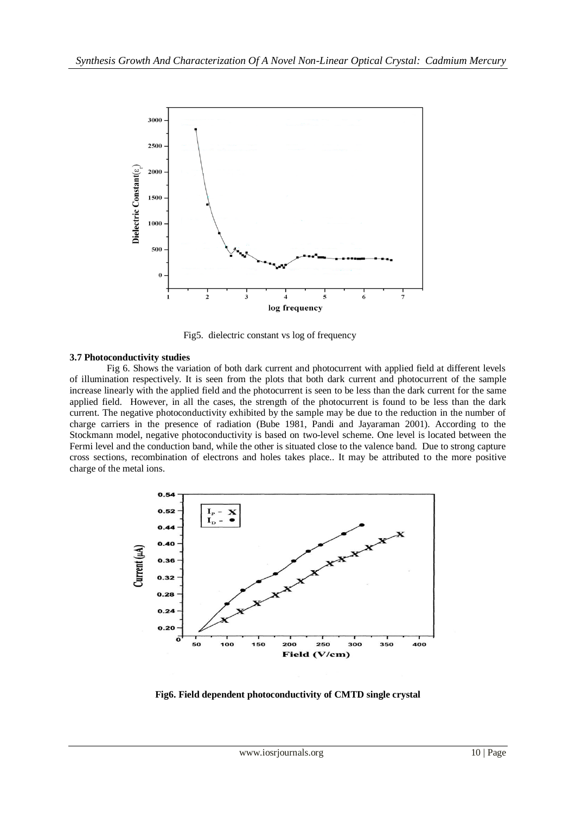

Fig5. dielectric constant vs log of frequency

## **3.7 Photoconductivity studies**

Fig 6. Shows the variation of both dark current and photocurrent with applied field at different levels of illumination respectively. It is seen from the plots that both dark current and photocurrent of the sample increase linearly with the applied field and the photocurrent is seen to be less than the dark current for the same applied field. However, in all the cases, the strength of the photocurrent is found to be less than the dark current. The negative photoconductivity exhibited by the sample may be due to the reduction in the number of charge carriers in the presence of radiation (Bube 1981, Pandi and Jayaraman 2001). According to the Stockmann model, negative photoconductivity is based on two-level scheme. One level is located between the Fermi level and the conduction band, while the other is situated close to the valence band. Due to strong capture cross sections, recombination of electrons and holes takes place.. It may be attributed to the more positive charge of the metal ions.



**Fig6. Field dependent photoconductivity of CMTD single crystal**